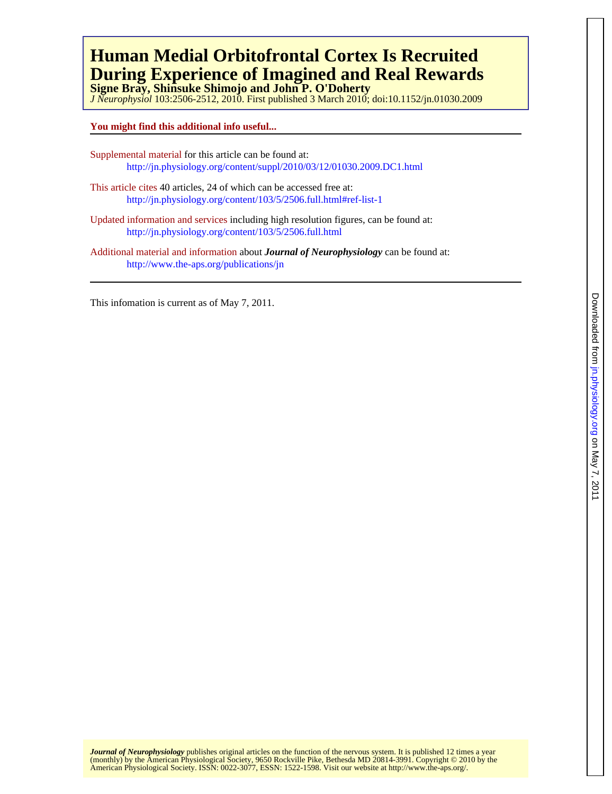# **During Experience of Imagined and Real Rewards Human Medial Orbitofrontal Cortex Is Recruited**

**Signe Bray, Shinsuke Shimojo and John P. O'Doherty**

*J Neurophysiol* 103:2506-2512, 2010. First published 3 March 2010; doi:10.1152/jn.01030.2009

# **You might find this additional info useful...**

- Supplemental material for this article can be found at: http://jn.physiology.org/content/suppl/2010/03/12/01030.2009.DC1.html
- This article cites 40 articles, 24 of which can be accessed free at: <http://jn.physiology.org/content/103/5/2506.full.html#ref-list-1>
- Updated information and services including high resolution figures, can be found at: <http://jn.physiology.org/content/103/5/2506.full.html>

Additional material and information about *Journal of Neurophysiology* can be found at: http://www.the-aps.org/publications/jn

This infomation is current as of May 7, 2011.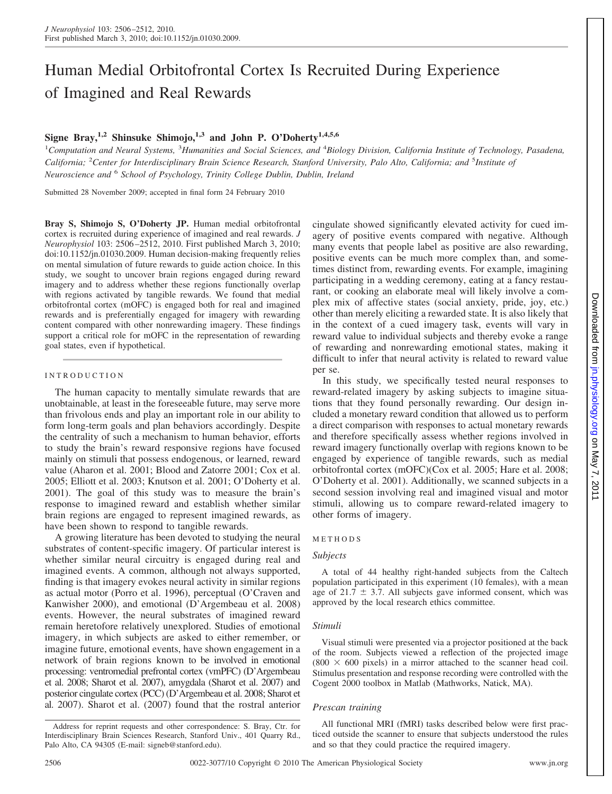# Human Medial Orbitofrontal Cortex Is Recruited During Experience of Imagined and Real Rewards

# **Signe Bray,1,2 Shinsuke Shimojo,1,3 and John P. O'Doherty1,4,5,6**

<sup>1</sup>Computation and Neural Systems, <sup>3</sup>Humanities and Social Sciences, and <sup>4</sup>Biology Division, California Institute of Technology, Pasadena, California; <sup>2</sup> Center for Interdisciplinary Brain Science Research, Stanford University, Palo Alto, California; and <sup>5</sup>Institute of *Neuroscience and* <sup>6</sup> *School of Psychology, Trinity College Dublin, Dublin, Ireland*

Submitted 28 November 2009; accepted in final form 24 February 2010

**Bray S, Shimojo S, O'Doherty JP.** Human medial orbitofrontal cortex is recruited during experience of imagined and real rewards. *J Neurophysiol* 103: 2506 –2512, 2010. First published March 3, 2010; doi:10.1152/jn.01030.2009. Human decision-making frequently relies on mental simulation of future rewards to guide action choice. In this study, we sought to uncover brain regions engaged during reward imagery and to address whether these regions functionally overlap with regions activated by tangible rewards. We found that medial orbitofrontal cortex (mOFC) is engaged both for real and imagined rewards and is preferentially engaged for imagery with rewarding content compared with other nonrewarding imagery. These findings support a critical role for mOFC in the representation of rewarding goal states, even if hypothetical.

### INTRODUCTION

The human capacity to mentally simulate rewards that are unobtainable, at least in the foreseeable future, may serve more than frivolous ends and play an important role in our ability to form long-term goals and plan behaviors accordingly. Despite the centrality of such a mechanism to human behavior, efforts to study the brain's reward responsive regions have focused mainly on stimuli that possess endogenous, or learned, reward value (Aharon et al. 2001; Blood and Zatorre 2001; Cox et al. 2005; Elliott et al. 2003; Knutson et al. 2001; O'Doherty et al. 2001). The goal of this study was to measure the brain's response to imagined reward and establish whether similar brain regions are engaged to represent imagined rewards, as have been shown to respond to tangible rewards.

A growing literature has been devoted to studying the neural substrates of content-specific imagery. Of particular interest is whether similar neural circuitry is engaged during real and imagined events. A common, although not always supported, finding is that imagery evokes neural activity in similar regions as actual motor (Porro et al. 1996), perceptual (O'Craven and Kanwisher 2000), and emotional (D'Argembeau et al. 2008) events. However, the neural substrates of imagined reward remain heretofore relatively unexplored. Studies of emotional imagery, in which subjects are asked to either remember, or imagine future, emotional events, have shown engagement in a network of brain regions known to be involved in emotional processing: ventromedial prefrontal cortex (vmPFC) (D'Argembeau et al. 2008; Sharot et al. 2007), amygdala (Sharot et al. 2007) and posterior cingulate cortex (PCC) (D'Argembeau et al. 2008; Sharot et al. 2007). Sharot et al. (2007) found that the rostral anterior cingulate showed significantly elevated activity for cued imagery of positive events compared with negative. Although many events that people label as positive are also rewarding, positive events can be much more complex than, and sometimes distinct from, rewarding events. For example, imagining participating in a wedding ceremony, eating at a fancy restaurant, or cooking an elaborate meal will likely involve a complex mix of affective states (social anxiety, pride, joy, etc.) other than merely eliciting a rewarded state. It is also likely that in the context of a cued imagery task, events will vary in reward value to individual subjects and thereby evoke a range of rewarding and nonrewarding emotional states, making it difficult to infer that neural activity is related to reward value per se.

In this study, we specifically tested neural responses to reward-related imagery by asking subjects to imagine situations that they found personally rewarding. Our design included a monetary reward condition that allowed us to perform a direct comparison with responses to actual monetary rewards and therefore specifically assess whether regions involved in reward imagery functionally overlap with regions known to be engaged by experience of tangible rewards, such as medial orbitofrontal cortex (mOFC)(Cox et al. 2005; Hare et al. 2008; O'Doherty et al. 2001). Additionally, we scanned subjects in a second session involving real and imagined visual and motor stimuli, allowing us to compare reward-related imagery to other forms of imagery.

#### METHODS

#### *Subjects*

A total of 44 healthy right-handed subjects from the Caltech population participated in this experiment (10 females), with a mean age of 21.7  $\pm$  3.7. All subjects gave informed consent, which was approved by the local research ethics committee.

#### *Stimuli*

Visual stimuli were presented via a projector positioned at the back of the room. Subjects viewed a reflection of the projected image  $(800 \times 600)$  pixels) in a mirror attached to the scanner head coil. Stimulus presentation and response recording were controlled with the Cogent 2000 toolbox in Matlab (Mathworks, Natick, MA).

#### *Prescan training*

All functional MRI (fMRI) tasks described below were first practiced outside the scanner to ensure that subjects understood the rules and so that they could practice the required imagery.

Address for reprint requests and other correspondence: S. Bray, Ctr. for Interdisciplinary Brain Sciences Research, Stanford Univ., 401 Quarry Rd., Palo Alto, CA 94305 (E-mail: signeb@stanford.edu).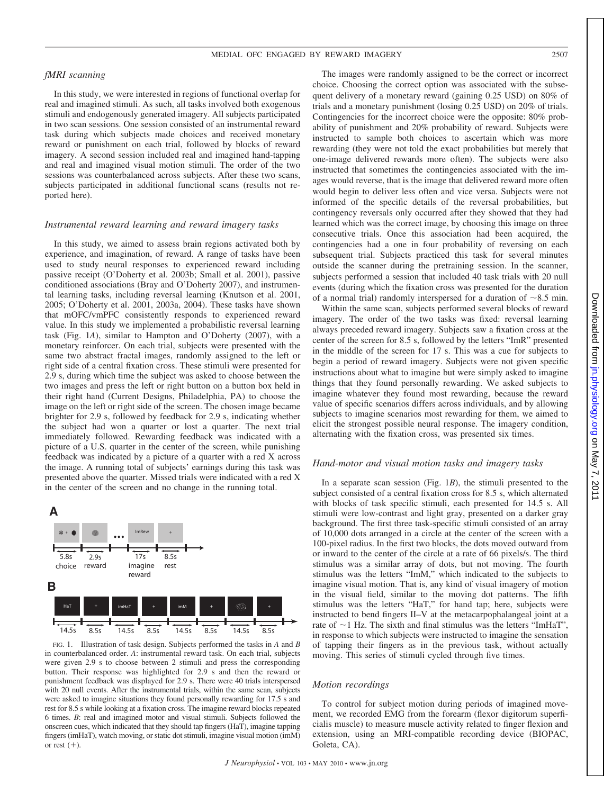#### MEDIAL OFC ENGAGED BY REWARD IMAGERY 2507

# *fMRI scanning*

In this study, we were interested in regions of functional overlap for real and imagined stimuli. As such, all tasks involved both exogenous stimuli and endogenously generated imagery. All subjects participated in two scan sessions. One session consisted of an instrumental reward task during which subjects made choices and received monetary reward or punishment on each trial, followed by blocks of reward imagery. A second session included real and imagined hand-tapping and real and imagined visual motion stimuli. The order of the two sessions was counterbalanced across subjects. After these two scans, subjects participated in additional functional scans (results not reported here).

#### *Instrumental reward learning and reward imagery tasks*

In this study, we aimed to assess brain regions activated both by experience, and imagination, of reward. A range of tasks have been used to study neural responses to experienced reward including passive receipt (O'Doherty et al. 2003b; Small et al. 2001), passive conditioned associations (Bray and O'Doherty 2007), and instrumental learning tasks, including reversal learning (Knutson et al. 2001, 2005; O'Doherty et al. 2001, 2003a, 2004). These tasks have shown that mOFC/vmPFC consistently responds to experienced reward value. In this study we implemented a probabilistic reversal learning task (Fig. 1*A*), similar to Hampton and O'Doherty (2007), with a monetary reinforcer. On each trial, subjects were presented with the same two abstract fractal images, randomly assigned to the left or right side of a central fixation cross. These stimuli were presented for 2.9 s, during which time the subject was asked to choose between the two images and press the left or right button on a button box held in their right hand (Current Designs, Philadelphia, PA) to choose the image on the left or right side of the screen. The chosen image became brighter for 2.9 s, followed by feedback for 2.9 s, indicating whether the subject had won a quarter or lost a quarter. The next trial immediately followed. Rewarding feedback was indicated with a picture of a U.S. quarter in the center of the screen, while punishing feedback was indicated by a picture of a quarter with a red X across the image. A running total of subjects' earnings during this task was presented above the quarter. Missed trials were indicated with a red X in the center of the screen and no change in the running total.



FIG. 1. Illustration of task design. Subjects performed the tasks in *A* and *B* in counterbalanced order. *A*: instrumental reward task. On each trial, subjects were given 2.9 s to choose between 2 stimuli and press the corresponding button. Their response was highlighted for 2.9 s and then the reward or punishment feedback was displayed for 2.9 s. There were 40 trials interspersed with 20 null events. After the instrumental trials, within the same scan, subjects were asked to imagine situations they found personally rewarding for 17.5 s and rest for 8.5 s while looking at a fixation cross. The imagine reward blocks repeated 6 times. *B*: real and imagined motor and visual stimuli. Subjects followed the onscreen cues, which indicated that they should tap fingers (HaT), imagine tapping fingers (imHaT), watch moving, or static dot stimuli, imagine visual motion (imM) or rest  $(+)$ .

The images were randomly assigned to be the correct or incorrect choice. Choosing the correct option was associated with the subsequent delivery of a monetary reward (gaining 0.25 USD) on 80% of trials and a monetary punishment (losing 0.25 USD) on 20% of trials. Contingencies for the incorrect choice were the opposite: 80% probability of punishment and 20% probability of reward. Subjects were instructed to sample both choices to ascertain which was more rewarding (they were not told the exact probabilities but merely that one-image delivered rewards more often). The subjects were also instructed that sometimes the contingencies associated with the images would reverse, that is the image that delivered reward more often would begin to deliver less often and vice versa. Subjects were not informed of the specific details of the reversal probabilities, but contingency reversals only occurred after they showed that they had learned which was the correct image, by choosing this image on three consecutive trials. Once this association had been acquired, the contingencies had a one in four probability of reversing on each subsequent trial. Subjects practiced this task for several minutes outside the scanner during the pretraining session. In the scanner, subjects performed a session that included 40 task trials with 20 null events (during which the fixation cross was presented for the duration of a normal trial) randomly interspersed for a duration of  $\sim$ 8.5 min.

Within the same scan, subjects performed several blocks of reward imagery. The order of the two tasks was fixed: reversal learning always preceded reward imagery. Subjects saw a fixation cross at the center of the screen for 8.5 s, followed by the letters "ImR" presented in the middle of the screen for 17 s. This was a cue for subjects to begin a period of reward imagery. Subjects were not given specific instructions about what to imagine but were simply asked to imagine things that they found personally rewarding. We asked subjects to imagine whatever they found most rewarding, because the reward value of specific scenarios differs across individuals, and by allowing subjects to imagine scenarios most rewarding for them, we aimed to elicit the strongest possible neural response. The imagery condition, alternating with the fixation cross, was presented six times.

# *Hand-motor and visual motion tasks and imagery tasks*

In a separate scan session (Fig. 1*B*), the stimuli presented to the subject consisted of a central fixation cross for 8.5 s, which alternated with blocks of task specific stimuli, each presented for 14.5 s. All stimuli were low-contrast and light gray, presented on a darker gray background. The first three task-specific stimuli consisted of an array of 10,000 dots arranged in a circle at the center of the screen with a 100-pixel radius. In the first two blocks, the dots moved outward from or inward to the center of the circle at a rate of 66 pixels/s. The third stimulus was a similar array of dots, but not moving. The fourth stimulus was the letters "ImM," which indicated to the subjects to imagine visual motion. That is, any kind of visual imagery of motion in the visual field, similar to the moving dot patterns. The fifth stimulus was the letters "HaT," for hand tap; here, subjects were instructed to bend fingers II–V at the metacarpophalangeal joint at a rate of  $\sim$  1 Hz. The sixth and final stimulus was the letters "ImHaT", in response to which subjects were instructed to imagine the sensation of tapping their fingers as in the previous task, without actually moving. This series of stimuli cycled through five times.

#### *Motion recordings*

To control for subject motion during periods of imagined movement, we recorded EMG from the forearm (flexor digitorum superficialis muscle) to measure muscle activity related to finger flexion and extension, using an MRI-compatible recording device (BIOPAC, Goleta, CA).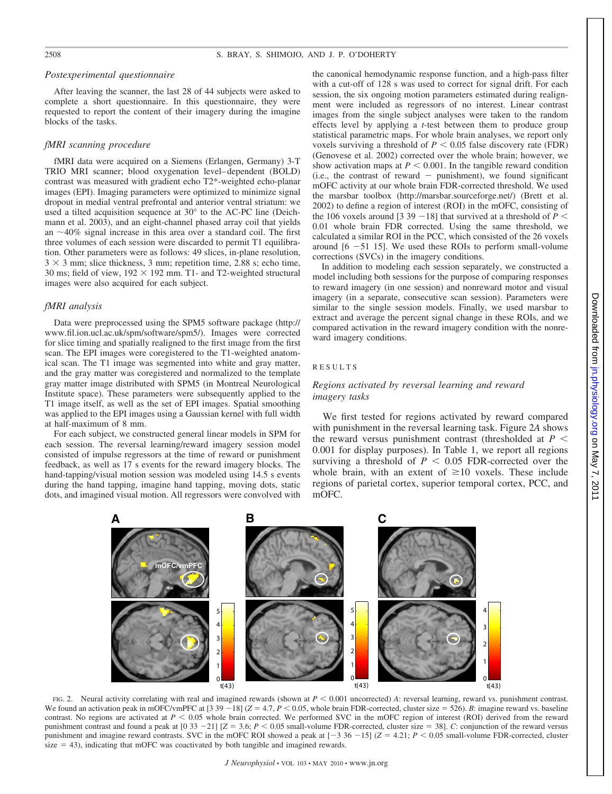# *Postexperimental questionnaire*

After leaving the scanner, the last 28 of 44 subjects were asked to complete a short questionnaire. In this questionnaire, they were requested to report the content of their imagery during the imagine blocks of the tasks.

#### *fMRI scanning procedure*

fMRI data were acquired on a Siemens (Erlangen, Germany) 3-T TRIO MRI scanner; blood oxygenation level– dependent (BOLD) contrast was measured with gradient echo T2\*-weighted echo-planar images (EPI). Imaging parameters were optimized to minimize signal dropout in medial ventral prefrontal and anterior ventral striatum: we used a tilted acquisition sequence at 30° to the AC-PC line (Deichmann et al. 2003), and an eight-channel phased array coil that yields an  $\sim$ 40% signal increase in this area over a standard coil. The first three volumes of each session were discarded to permit T1 equilibration. Other parameters were as follows: 49 slices, in-plane resolution,  $3 \times 3$  mm; slice thickness, 3 mm; repetition time, 2.88 s; echo time, 30 ms; field of view,  $192 \times 192$  mm. T1- and T2-weighted structural images were also acquired for each subject.

#### *fMRI analysis*

Data were preprocessed using the SPM5 software package (http:// www.fil.ion.ucl.ac.uk/spm/software/spm5/). Images were corrected for slice timing and spatially realigned to the first image from the first scan. The EPI images were coregistered to the T1-weighted anatomical scan. The T1 image was segmented into white and gray matter, and the gray matter was coregistered and normalized to the template gray matter image distributed with SPM5 (in Montreal Neurological Institute space). These parameters were subsequently applied to the T1 image itself, as well as the set of EPI images. Spatial smoothing was applied to the EPI images using a Gaussian kernel with full width at half-maximum of 8 mm.

For each subject, we constructed general linear models in SPM for each session. The reversal learning/reward imagery session model consisted of impulse regressors at the time of reward or punishment feedback, as well as 17 s events for the reward imagery blocks. The hand-tapping/visual motion session was modeled using 14.5 s events during the hand tapping, imagine hand tapping, moving dots, static dots, and imagined visual motion. All regressors were convolved with the canonical hemodynamic response function, and a high-pass filter with a cut-off of 128 s was used to correct for signal drift. For each session, the six ongoing motion parameters estimated during realignment were included as regressors of no interest. Linear contrast images from the single subject analyses were taken to the random effects level by applying a *t*-test between them to produce group statistical parametric maps. For whole brain analyses, we report only voxels surviving a threshold of  $P \leq 0.05$  false discovery rate (FDR) (Genovese et al. 2002) corrected over the whole brain; however, we show activation maps at  $P \leq 0.001$ . In the tangible reward condition  $(i.e., the contrast of reward - punishment), we found significant$ mOFC activity at our whole brain FDR-corrected threshold. We used the marsbar toolbox (http://marsbar.sourceforge.net/) (Brett et al. 2002) to define a region of interest (ROI) in the mOFC, consisting of the 106 voxels around [3 39 -18] that survived at a threshold of  $P \leq$ 0.01 whole brain FDR corrected. Using the same threshold, we calculated a similar ROI in the PCC, which consisted of the 26 voxels around  $[6 -51 15]$ . We used these ROIs to perform small-volume corrections (SVCs) in the imagery conditions.

In addition to modeling each session separately, we constructed a model including both sessions for the purpose of comparing responses to reward imagery (in one session) and nonreward motor and visual imagery (in a separate, consecutive scan session). Parameters were similar to the single session models. Finally, we used marsbar to extract and average the percent signal change in these ROIs, and we compared activation in the reward imagery condition with the nonreward imagery conditions.

#### RESULTS

### *Regions activated by reversal learning and reward imagery tasks*

We first tested for regions activated by reward compared with punishment in the reversal learning task. Figure 2*A* shows the reward versus punishment contrast (thresholded at  $P \leq$ 0.001 for display purposes). In Table 1, we report all regions surviving a threshold of  $P < 0.05$  FDR-corrected over the whole brain, with an extent of  $\geq 10$  voxels. These include regions of parietal cortex, superior temporal cortex, PCC, and mOFC.



FIG. 2. Neural activity correlating with real and imagined rewards (shown at  $P < 0.001$  uncorrected) *A*: reversal learning, reward vs. punishment contrast. We found an activation peak in mOFC/vmPFC at  $[3\ 39 - 18]$  ( $Z = 4.7$ ,  $P < 0.05$ , whole brain FDR-corrected, cluster size = 526). *B*: imagine reward vs. baseline contrast. No regions are activated at  $P < 0.05$  whole brain corrected. We performed SVC in the mOFC region of interest (ROI) derived from the reward punishment contrast and found a peak at  $[0\ 33 - 21]$   $[Z = 3.6; P < 0.05$  small-volume FDR-corrected, cluster size = 38]. *C*: conjunction of the reward versus punishment and imagine reward contrasts. SVC in the mOFC ROI showed a peak at  $[-3.36 -15]$  ( $Z = 4.21$ ;  $P < 0.05$  small-volume FDR-corrected, cluster size  $=$  43), indicating that mOFC was coactivated by both tangible and imagined rewards.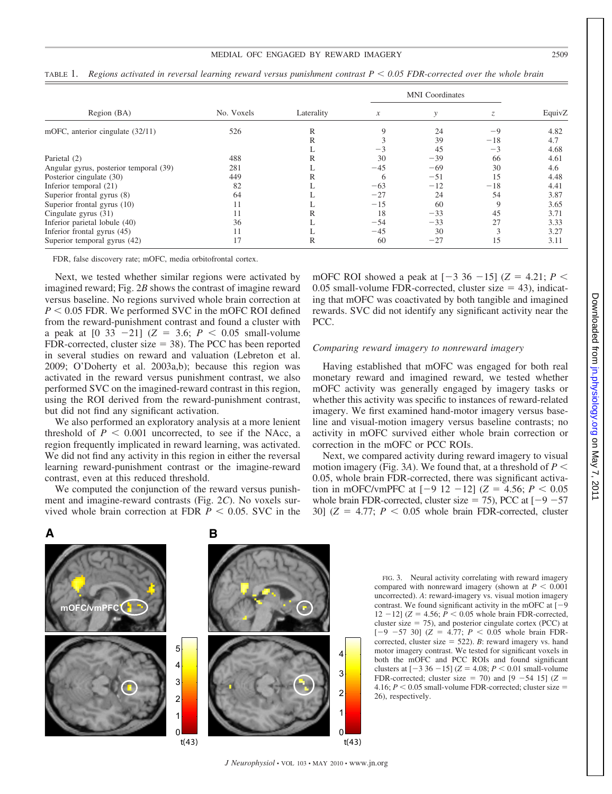#### MEDIAL OFC ENGAGED BY REWARD IMAGERY 2509

|                                        | No. Voxels | Laterality | <b>MNI</b> Coordinates |              |       |        |
|----------------------------------------|------------|------------|------------------------|--------------|-------|--------|
| Region (BA)                            |            |            | $\mathcal{X}$          | $\mathcal V$ |       | EquivZ |
| mOFC, anterior cingulate (32/11)       | 526        | R          | 9                      | 24           | $-9$  | 4.82   |
|                                        |            | R          |                        | 39           | $-18$ | 4.7    |
|                                        |            |            |                        | 45           | $-3$  | 4.68   |
| Parietal (2)                           | 488        | R          | 30                     | $-39$        | 66    | 4.61   |
| Angular gyrus, posterior temporal (39) | 281        |            | $-45$                  | $-69$        | 30    | 4.6    |
| Posterior cingulate (30)               | 449        | R          | 6                      | $-51$        | 15    | 4.48   |
| Inferior temporal (21)                 | 82         |            | $-63$                  | $-12$        | $-18$ | 4.41   |
| Superior frontal gyrus (8)             | 64         |            | $-27$                  | 24           | 54    | 3.87   |
| Superior frontal gyrus (10)            | 11         |            | $-15$                  | 60           | 9     | 3.65   |
| Cingulate gyrus (31)                   | 11         | R          | 18                     | $-33$        | 45    | 3.71   |
| Inferior parietal lobule (40)          | 36         |            | $-54$                  | $-33$        | 27    | 3.33   |
| Inferior frontal gyrus (45)            | 11         |            | $-45$                  | 30           | 3     | 3.27   |
| Superior temporal gyrus (42)           | 17         | R          | 60                     | $-27$        | 15    | 3.11   |

TABLE 1. *Regions activated in reversal learning reward versus punishment contrast P 0.05 FDR-corrected over the whole brain*

FDR, false discovery rate; mOFC, media orbitofrontal cortex.

Next, we tested whether similar regions were activated by imagined reward; Fig. 2*B* shows the contrast of imagine reward versus baseline. No regions survived whole brain correction at  $P < 0.05$  FDR. We performed SVC in the mOFC ROI defined from the reward-punishment contrast and found a cluster with a peak at  $[0, 33, -21]$  ( $Z = 3.6$ ;  $P < 0.05$  small-volume FDR-corrected, cluster size  $= 38$ ). The PCC has been reported in several studies on reward and valuation (Lebreton et al. 2009; O'Doherty et al. 2003a,b); because this region was activated in the reward versus punishment contrast, we also performed SVC on the imagined-reward contrast in this region, using the ROI derived from the reward-punishment contrast, but did not find any significant activation.

We also performed an exploratory analysis at a more lenient threshold of  $P < 0.001$  uncorrected, to see if the NAcc, a region frequently implicated in reward learning, was activated. We did not find any activity in this region in either the reversal learning reward-punishment contrast or the imagine-reward contrast, even at this reduced threshold.

We computed the conjunction of the reward versus punishment and imagine-reward contrasts (Fig. 2*C*). No voxels survived whole brain correction at FDR  $P < 0.05$ . SVC in the mOFC ROI showed a peak at  $[-3 \ 36 \ -15]$  ( $Z = 4.21$ ;  $P \le$ 0.05 small-volume FDR-corrected, cluster size  $=$  43), indicating that mOFC was coactivated by both tangible and imagined rewards. SVC did not identify any significant activity near the PCC.

#### *Comparing reward imagery to nonreward imagery*

Having established that mOFC was engaged for both real monetary reward and imagined reward, we tested whether mOFC activity was generally engaged by imagery tasks or whether this activity was specific to instances of reward-related imagery. We first examined hand-motor imagery versus baseline and visual-motion imagery versus baseline contrasts; no activity in mOFC survived either whole brain correction or correction in the mOFC or PCC ROIs.

Next, we compared activity during reward imagery to visual motion imagery (Fig. 3A). We found that, at a threshold of  $P \leq$ 0.05, whole brain FDR-corrected, there was significant activation in mOFC/vmPFC at  $[-9 12 - 12]$  ( $Z = 4.56$ ;  $P < 0.05$ ) whole brain FDR-corrected, cluster size  $= 75$ ), PCC at  $[-9 - 57]$ 30]  $(Z = 4.77; P < 0.05$  whole brain FDR-corrected, cluster



FIG. 3. Neural activity correlating with reward imagery compared with nonreward imagery (shown at  $P < 0.001$ ) uncorrected). *A*: reward-imagery vs. visual motion imagery contrast. We found significant activity in the mOFC at  $[-9]$  $12 - 12$ ] ( $Z = 4.56$ ;  $P < 0.05$  whole brain FDR-corrected, cluster size  $= 75$ ), and posterior cingulate cortex (PCC) at  $[-9 -57 30]$  ( $Z = 4.77$ ;  $P < 0.05$  whole brain FDRcorrected, cluster size  $= 522$ ). *B*: reward imagery vs. hand motor imagery contrast. We tested for significant voxels in both the mOFC and PCC ROIs and found significant clusters at  $[-3 36 - 15]$  ( $Z = 4.08$ ;  $P < 0.01$  small-volume FDR-corrected; cluster size  $= 70$ ) and  $[9 -54 15]$  ( $Z =$ 4.16;  $P < 0.05$  small-volume FDR-corrected; cluster size = 26), respectively.

Downloaded from jn.physiology.org on May 7, on May 7, 2011 [jn.physiology.org](http://jn.physiology.org/) Downloaded from  $-2011$ 

4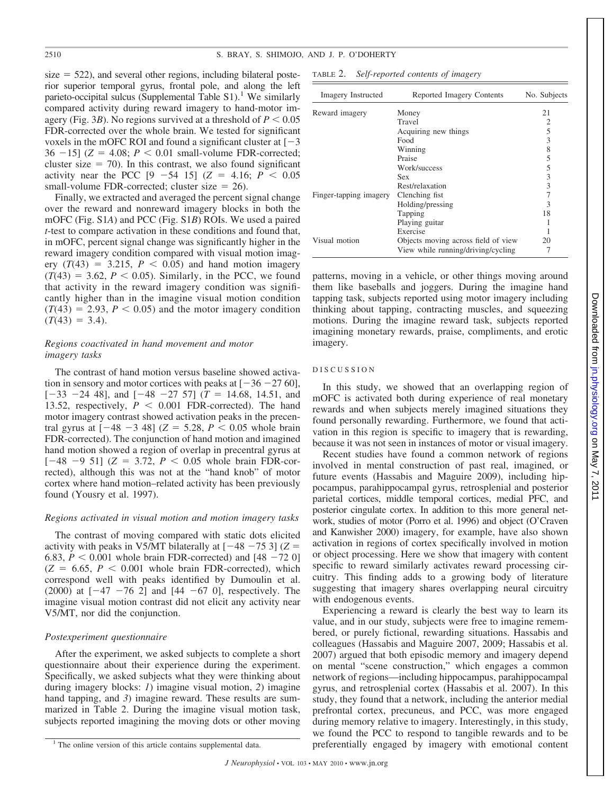$size = 522$ ), and several other regions, including bilateral posterior superior temporal gyrus, frontal pole, and along the left parieto-occipital sulcus (Supplemental Table  $S1$ ).<sup>1</sup> We similarly compared activity during reward imagery to hand-motor imagery (Fig. 3*B*). No regions survived at a threshold of  $P < 0.05$ FDR-corrected over the whole brain. We tested for significant voxels in the mOFC ROI and found a significant cluster at  $[-3]$  $36 - 15$ ] ( $Z = 4.08$ ;  $P < 0.01$  small-volume FDR-corrected; cluster size  $= 70$ ). In this contrast, we also found significant activity near the PCC  $[9 -54 15]$   $(Z = 4.16; P < 0.05$ small-volume FDR-corrected; cluster size  $= 26$ ).

Finally, we extracted and averaged the percent signal change over the reward and nonreward imagery blocks in both the mOFC (Fig. S1*A*) and PCC (Fig. S1*B*) ROIs. We used a paired *t*-test to compare activation in these conditions and found that, in mOFC, percent signal change was significantly higher in the reward imagery condition compared with visual motion imagery  $(T(43) = 3.215, P < 0.05)$  and hand motion imagery  $(T(43) = 3.62, P < 0.05)$ . Similarly, in the PCC, we found that activity in the reward imagery condition was significantly higher than in the imagine visual motion condition  $(T(43) = 2.93, P < 0.05)$  and the motor imagery condition  $(T(43) = 3.4)$ .

# *Regions coactivated in hand movement and motor imagery tasks*

The contrast of hand motion versus baseline showed activation in sensory and motor cortices with peaks at  $[-36 - 27, 60]$ ,  $[-33 - 24 48]$ , and  $[-48 - 27 57]$  ( $T = 14.68$ , 14.51, and 13.52, respectively,  $P < 0.001$  FDR-corrected). The hand motor imagery contrast showed activation peaks in the precentral gyrus at  $[-48 - 3, 48]$  ( $Z = 5.28$ ,  $P < 0.05$  whole brain FDR-corrected). The conjunction of hand motion and imagined hand motion showed a region of overlap in precentral gyrus at  $[-48 - 9 51]$  ( $Z = 3.72$ ,  $P < 0.05$  whole brain FDR-corrected), although this was not at the "hand knob" of motor cortex where hand motion–related activity has been previously found (Yousry et al. 1997).

### *Regions activated in visual motion and motion imagery tasks*

The contrast of moving compared with static dots elicited activity with peaks in V5/MT bilaterally at  $[-48 - 75 3]$  ( $Z =$ 6.83,  $P < 0.001$  whole brain FDR-corrected) and  $[48 - 72 0]$  $(Z = 6.65, P < 0.001$  whole brain FDR-corrected), which correspond well with peaks identified by Dumoulin et al. (2000) at  $[-47 - 76 2]$  and  $[44 - 67 0]$ , respectively. The imagine visual motion contrast did not elicit any activity near V5/MT, nor did the conjunction.

#### *Postexperiment questionnaire*

After the experiment, we asked subjects to complete a short questionnaire about their experience during the experiment. Specifically, we asked subjects what they were thinking about during imagery blocks: *1*) imagine visual motion, *2*) imagine hand tapping, and 3) imagine reward. These results are summarized in Table 2. During the imagine visual motion task, subjects reported imagining the moving dots or other moving

| TABLE 2. | Self-reported contents of imagery |  |  |  |
|----------|-----------------------------------|--|--|--|
|----------|-----------------------------------|--|--|--|

| Imagery Instructed     | Reported Imagery Contents           | No. Subjects |
|------------------------|-------------------------------------|--------------|
| Reward imagery         | Money                               | 21           |
|                        | Travel                              |              |
|                        | Acquiring new things                | 5            |
|                        | Food                                | 3            |
|                        | Winning                             | 8            |
|                        | Praise                              | 5            |
|                        | Work/success                        | 5            |
|                        | <b>Sex</b>                          | 3            |
|                        | Rest/relaxation                     | 3            |
| Finger-tapping imagery | Clenching fist                      |              |
|                        | Holding/pressing                    | 3            |
|                        | Tapping                             | 18           |
|                        | Playing guitar                      |              |
|                        | Exercise                            |              |
| Visual motion          | Objects moving across field of view | 20           |
|                        | View while running/driving/cycling  |              |

patterns, moving in a vehicle, or other things moving around them like baseballs and joggers. During the imagine hand tapping task, subjects reported using motor imagery including thinking about tapping, contracting muscles, and squeezing motions. During the imagine reward task, subjects reported imagining monetary rewards, praise, compliments, and erotic imagery.

#### DISCUSSION

In this study, we showed that an overlapping region of mOFC is activated both during experience of real monetary rewards and when subjects merely imagined situations they found personally rewarding. Furthermore, we found that activation in this region is specific to imagery that is rewarding, because it was not seen in instances of motor or visual imagery.

Recent studies have found a common network of regions involved in mental construction of past real, imagined, or future events (Hassabis and Maguire 2009), including hippocampus, parahippocampal gyrus, retrosplenial and posterior parietal cortices, middle temporal cortices, medial PFC, and posterior cingulate cortex. In addition to this more general network, studies of motor (Porro et al. 1996) and object (O'Craven and Kanwisher 2000) imagery, for example, have also shown activation in regions of cortex specifically involved in motion or object processing. Here we show that imagery with content specific to reward similarly activates reward processing circuitry. This finding adds to a growing body of literature suggesting that imagery shares overlapping neural circuitry with endogenous events.

Experiencing a reward is clearly the best way to learn its value, and in our study, subjects were free to imagine remembered, or purely fictional, rewarding situations. Hassabis and colleagues (Hassabis and Maguire 2007, 2009; Hassabis et al. 2007) argued that both episodic memory and imagery depend on mental "scene construction," which engages a common network of regions—including hippocampus, parahippocampal gyrus, and retrosplenial cortex (Hassabis et al. 2007). In this study, they found that a network, including the anterior medial prefrontal cortex, precuneus, and PCC, was more engaged during memory relative to imagery. Interestingly, in this study, we found the PCC to respond to tangible rewards and to be <sup>1</sup> The online version of this article contains supplemental data. Preferentially engaged by imagery with emotional content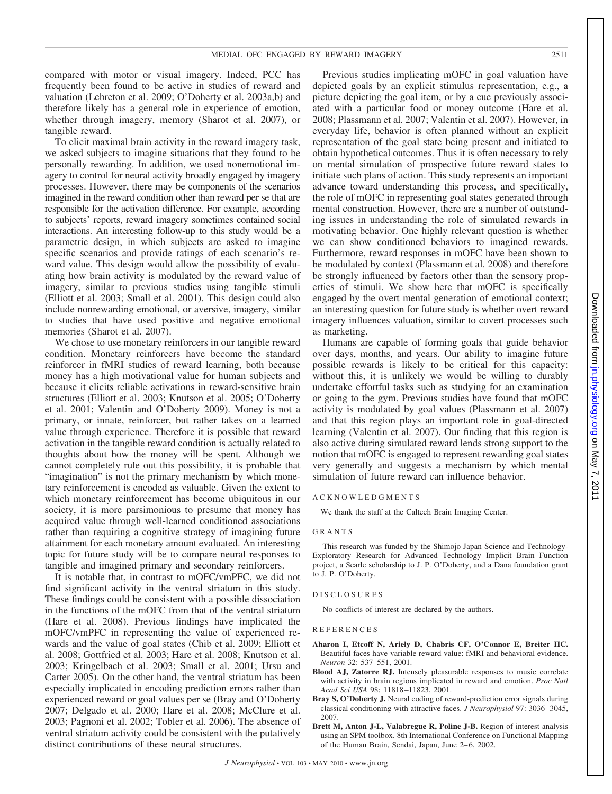compared with motor or visual imagery. Indeed, PCC has frequently been found to be active in studies of reward and valuation (Lebreton et al. 2009; O'Doherty et al. 2003a,b) and therefore likely has a general role in experience of emotion, whether through imagery, memory (Sharot et al. 2007), or tangible reward.

To elicit maximal brain activity in the reward imagery task, we asked subjects to imagine situations that they found to be personally rewarding. In addition, we used nonemotional imagery to control for neural activity broadly engaged by imagery processes. However, there may be components of the scenarios imagined in the reward condition other than reward per se that are responsible for the activation difference. For example, according to subjects' reports, reward imagery sometimes contained social interactions. An interesting follow-up to this study would be a parametric design, in which subjects are asked to imagine specific scenarios and provide ratings of each scenario's reward value. This design would allow the possibility of evaluating how brain activity is modulated by the reward value of imagery, similar to previous studies using tangible stimuli (Elliott et al. 2003; Small et al. 2001). This design could also include nonrewarding emotional, or aversive, imagery, similar to studies that have used positive and negative emotional memories (Sharot et al. 2007).

We chose to use monetary reinforcers in our tangible reward condition. Monetary reinforcers have become the standard reinforcer in fMRI studies of reward learning, both because money has a high motivational value for human subjects and because it elicits reliable activations in reward-sensitive brain structures (Elliott et al. 2003; Knutson et al. 2005; O'Doherty et al. 2001; Valentin and O'Doherty 2009). Money is not a primary, or innate, reinforcer, but rather takes on a learned value through experience. Therefore it is possible that reward activation in the tangible reward condition is actually related to thoughts about how the money will be spent. Although we cannot completely rule out this possibility, it is probable that "imagination" is not the primary mechanism by which monetary reinforcement is encoded as valuable. Given the extent to which monetary reinforcement has become ubiquitous in our society, it is more parsimonious to presume that money has acquired value through well-learned conditioned associations rather than requiring a cognitive strategy of imagining future attainment for each monetary amount evaluated. An interesting topic for future study will be to compare neural responses to tangible and imagined primary and secondary reinforcers.

It is notable that, in contrast to mOFC/vmPFC, we did not find significant activity in the ventral striatum in this study. These findings could be consistent with a possible dissociation in the functions of the mOFC from that of the ventral striatum (Hare et al. 2008). Previous findings have implicated the mOFC/vmPFC in representing the value of experienced rewards and the value of goal states (Chib et al. 2009; Elliott et al. 2008; Gottfried et al. 2003; Hare et al. 2008; Knutson et al. 2003; Kringelbach et al. 2003; Small et al. 2001; Ursu and Carter 2005). On the other hand, the ventral striatum has been especially implicated in encoding prediction errors rather than experienced reward or goal values per se (Bray and O'Doherty 2007; Delgado et al. 2000; Hare et al. 2008; McClure et al. 2003; Pagnoni et al. 2002; Tobler et al. 2006). The absence of ventral striatum activity could be consistent with the putatively distinct contributions of these neural structures.

Previous studies implicating mOFC in goal valuation have depicted goals by an explicit stimulus representation, e.g., a picture depicting the goal item, or by a cue previously associated with a particular food or money outcome (Hare et al. 2008; Plassmann et al. 2007; Valentin et al. 2007). However, in everyday life, behavior is often planned without an explicit representation of the goal state being present and initiated to obtain hypothetical outcomes. Thus it is often necessary to rely on mental simulation of prospective future reward states to initiate such plans of action. This study represents an important advance toward understanding this process, and specifically, the role of mOFC in representing goal states generated through mental construction. However, there are a number of outstanding issues in understanding the role of simulated rewards in motivating behavior. One highly relevant question is whether we can show conditioned behaviors to imagined rewards. Furthermore, reward responses in mOFC have been shown to be modulated by context (Plassmann et al. 2008) and therefore be strongly influenced by factors other than the sensory properties of stimuli. We show here that mOFC is specifically engaged by the overt mental generation of emotional context; an interesting question for future study is whether overt reward imagery influences valuation, similar to covert processes such as marketing.

Humans are capable of forming goals that guide behavior over days, months, and years. Our ability to imagine future possible rewards is likely to be critical for this capacity: without this, it is unlikely we would be willing to durably undertake effortful tasks such as studying for an examination or going to the gym. Previous studies have found that mOFC activity is modulated by goal values (Plassmann et al. 2007) and that this region plays an important role in goal-directed learning (Valentin et al. 2007). Our finding that this region is also active during simulated reward lends strong support to the notion that mOFC is engaged to represent rewarding goal states very generally and suggests a mechanism by which mental simulation of future reward can influence behavior.

#### ACKNOWLEDGMENTS

We thank the staff at the Caltech Brain Imaging Center.

#### GRANTS

This research was funded by the Shimojo Japan Science and Technology-Exploratory Research for Advanced Technology Implicit Brain Function project, a Searle scholarship to J. P. O'Doherty, and a Dana foundation grant to J. P. O'Doherty.

#### DISCLOSURES

No conflicts of interest are declared by the authors.

#### **REFERENCES**

- **Aharon I, Etcoff N, Ariely D, Chabris CF, O'Connor E, Breiter HC.** Beautiful faces have variable reward value: fMRI and behavioral evidence. *Neuron* 32: 537–551, 2001.
- **Blood AJ, Zatorre RJ.** Intensely pleasurable responses to music correlate with activity in brain regions implicated in reward and emotion. *Proc Natl Acad Sci USA* 98: 11818 –11823, 2001.
- **Bray S, O'Doherty J.** Neural coding of reward-prediction error signals during classical conditioning with attractive faces. *J Neurophysiol* 97: 3036 –3045, 2007.
- **Brett M, Anton J-L, Valabregue R, Poline J-B.** Region of interest analysis using an SPM toolbox. 8th International Conference on Functional Mapping of the Human Brain, Sendai, Japan, June 2– 6, 2002.